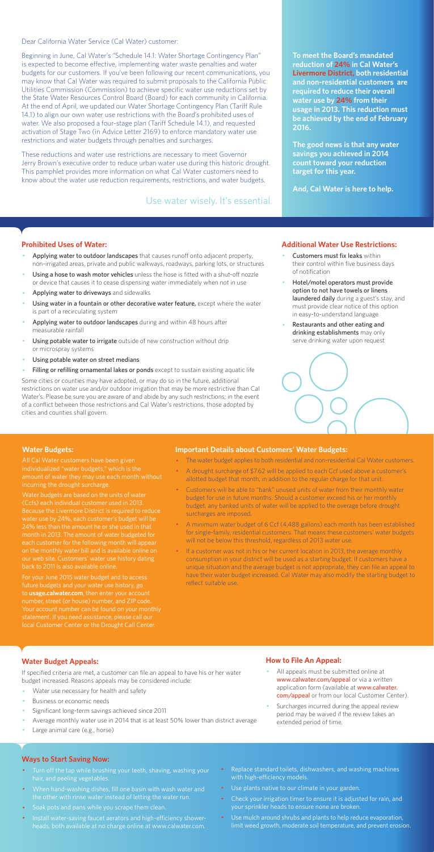Dear California Water Service (Cal Water) customer:

Beginning in June, Cal Water's "Schedule 14.1: Water Shortage Contingency Plan" is expected to become effective, implementing water waste penalties and water budgets for our customers. If you've been following our recent communications, you may know that Cal Water was required to submit proposals to the California Public Utilities Commission (Commission) to achieve specific water use reductions set by the State Water Resources Control Board (Board) for each community in California. At the end of April, we updated our Water Shortage Contingency Plan (Tariff Rule 14.1) to align our own water use restrictions with the Board's prohibited uses of water. We also proposed a four-stage plan (Tariff Schedule 14.1), and requested activation of Stage Two (in Advice Letter 2169) to enforce mandatory water use restrictions and water budgets through penalties and surcharges.

These reductions and water use restrictions are necessary to meet Governor Jerry Brown's executive order to reduce urban water use during this historic drought. This pamphlet provides more information on what Cal Water customers need to know about the water use reduction requirements, restrictions, and water budgets.

#### **Prohibited Uses of Water:**

- Applying water to outdoor landscapes that causes runoff onto adjacent property, non-irrigated areas, private and public walkways, roadways, parking lots, or structures
- Using a hose to wash motor vehicles unless the hose is fitted with a shut-off nozzle or device that causes it to cease dispensing water immediately when not in use
- Applying water to driveways and sidewalks
- Using water in a fountain or other decorative water feature, except where the water is part of a recirculating system
- Applying water to outdoor landscapes during and within 48 hours after measurable rainfall
- Using potable water to irrigate outside of new construction without drip or microspray systems
- Using potable water on street medians
- Filling or refilling ornamental lakes or ponds except to sustain existing aquatic life
- Customers must fix leaks within their control within five business days of notification
- Hotel/motel operators must provide option to not have towels or linens laundered daily during a guest's stay, and must provide clear notice of this option in easy-to-understand language
- Restaurants and other eating and drinking establishments may only serve drinking water upon request



- All appeals must be submitted online at www.calwater.com/appeal or via a written application form (available at www.calwater. com/appeal or from our local Customer Center).
- · Surcharges incurred during the appeal review period may be waived if the review takes an extended period of time.

Some cities or counties may have adopted, or may do so in the future, additional restrictions on water use and/or outdoor irrigation that may be more restrictive than Cal Water's. Please be sure you are aware of and abide by any such restrictions; in the event of a conflict between those restrictions and Cal Water's restrictions, those adopted by cities and counties shall govern.

- Turn off the tap while brushing your teeth, shaving, washing your hair, and peeling vegetables.
- · When hand-washing dishes, fill one basin with wash water and the other with rinse water instead of letting the water run.
- · Soak pots and pans while you scrape them clean.
- · Install water-saving faucet aerators and high-efficiency showerheads, both available at no charge online at www.calwater.com.
- Replace standard toilets, dishwashers, and washing machines with high-efficiency models.
- · Use plants native to our climate in your garden.
- Check your irrigation timer to ensure it is adjusted for rain, and your sprinkler heads to ensure none are broken.
- · Use mulch around shrubs and plants to help reduce evaporation, limit weed growth, moderate soil temperature, and prevent erosion.

**To meet the Board's mandated reduction of 24% in Cal Water's Livermore District, both residential and non-residential customers are required to reduce their overall water use by 24% from their usage in 2013. This reduction must be achieved by the end of February 2016.** 

**The good news is that any water savings you achieved in 2014 count toward your reduction target for this year.** 

**And, Cal Water is here to help.** 

#### **Additional Water Use Restrictions:**

## **Water Budget Appeals:**

If specified criteria are met, a customer can file an appeal to have his or her water budget increased. Reasons appeals may be considered include:

- Water use necessary for health and safety
- Business or economic needs
- Significant long-term savings achieved since 2011
- Average monthly water use in 2014 that is at least 50% lower than district average
- Large animal care (e.g., horse)

If a customer was not in his or her current location in 2013, the average monthly consumption in your district will be used as a starting budget. If customers have a unique situation and the average budget is not appropriate, they can file an appeal to have their water budget increased. Cal Water may also modify the starting budget to reflect suitable use.

## **How to File An Appeal:**

#### **Ways to Start Saving Now:**

Use water wisely. It's essential.

#### **Water Budgets:**

individualized "water budgets," which is the incurring the drought surcharge.

Water budgets are based on the units of water (Ccfs) each individual customer used in 2013. Because the Livermore District is required to reduce water use by 24%, each customer's budget will be month in 2013. The amount of water budgeted for each customer for the following month will appea on the monthly water bill and is available online on

For your June 2015 water budget and to access future budgets and your water use history, go to **usage.calwater.com**, then enter your account number, street (or house) number, and ZIP code. local Customer Center or the Drought Call Center.

#### **Important Details about Customers' Water Budgets:**

- · The water budget applies to both residential and non-residential Cal Water customers.
- · A drought surcharge of \$7.62 will be applied to each Ccf used above a customer's allotted budget that month, in addition to the regular charge for that unit.
- · Customers will be able to "bank" unused units of water from their monthly water budget for use in future months. Should a customer exceed his or her monthly budget, any banked units of water will be applied to the overage before drought surcharges are imposed.
- · A minimum water budget of 6 Ccf (4,488 gallons) each month has been established for single-family, residential customers. That means these customers' water budgets will not be below this threshold, regardless of 2013 water use.